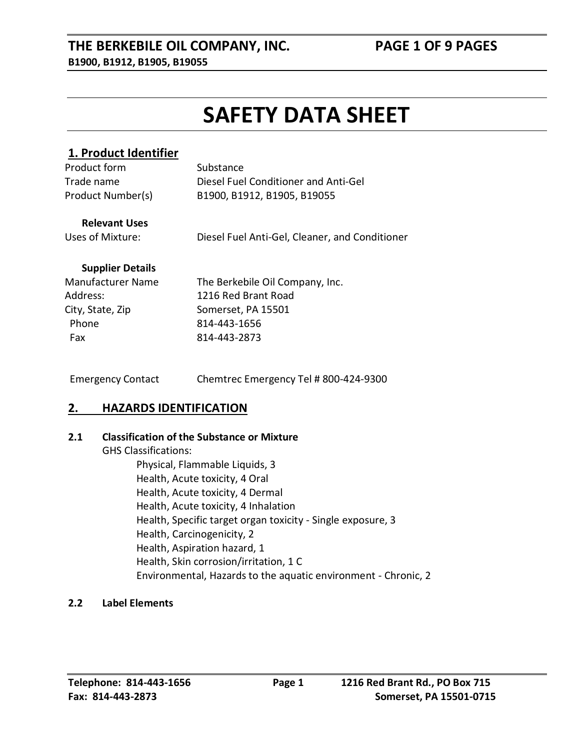#### **THE BERKEBILE OIL COMPANY, INC. PAGE 1 OF 9 PAGES B1900, B1912, B1905, B19055**

## **SAFETY DATA SHEET**

#### **1. Product Identifier**

| Product form      | Substance                            |
|-------------------|--------------------------------------|
| Trade name        | Diesel Fuel Conditioner and Anti-Gel |
| Product Number(s) | B1900, B1912, B1905, B19055          |

#### **Relevant Uses**

Uses of Mixture: Diesel Fuel Anti-Gel, Cleaner, and Conditioner

#### **Supplier Details**

| <b>Manufacturer Name</b> | The Berkebile Oil Company, Inc. |
|--------------------------|---------------------------------|
| Address:                 | 1216 Red Brant Road             |
| City, State, Zip         | Somerset, PA 15501              |
| Phone                    | 814-443-1656                    |
| Fax                      | 814-443-2873                    |
|                          |                                 |

Emergency Contact Chemtrec Emergency Tel # 800-424-9300

#### **2. HAZARDS IDENTIFICATION**

#### **2.1 Classification of the Substance or Mixture**

GHS Classifications: Physical, Flammable Liquids, 3 Health, Acute toxicity, 4 Oral Health, Acute toxicity, 4 Dermal Health, Acute toxicity, 4 Inhalation Health, Specific target organ toxicity - Single exposure, 3 Health, Carcinogenicity, 2 Health, Aspiration hazard, 1 Health, Skin corrosion/irritation, 1 C Environmental, Hazards to the aquatic environment - Chronic, 2

#### **2.2 Label Elements**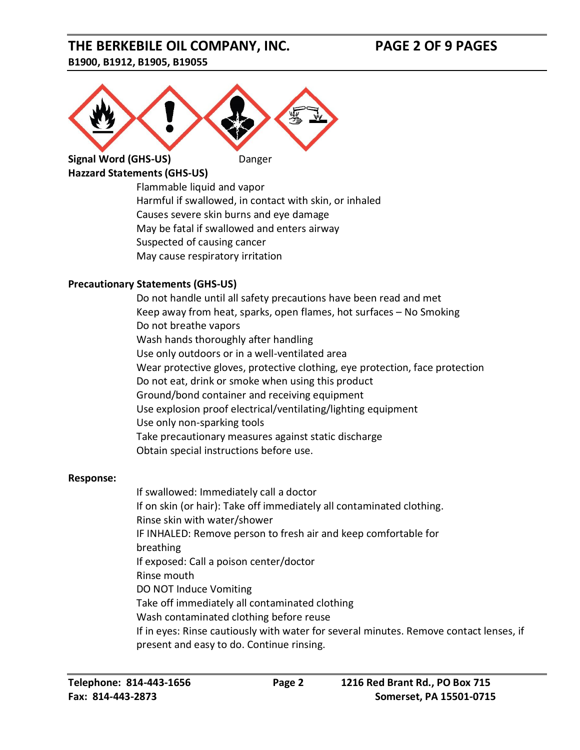#### **THE BERKEBILE OIL COMPANY, INC. PAGE 2 OF 9 PAGES B1900, B1912, B1905, B19055**

# **Signal Word (GHS-US)** Danger

### **Hazzard Statements (GHS-US)**

Flammable liquid and vapor Harmful if swallowed, in contact with skin, or inhaled Causes severe skin burns and eye damage May be fatal if swallowed and enters airway Suspected of causing cancer May cause respiratory irritation

#### **Precautionary Statements (GHS-US)**

Do not handle until all safety precautions have been read and met Keep away from heat, sparks, open flames, hot surfaces – No Smoking Do not breathe vapors Wash hands thoroughly after handling Use only outdoors or in a well-ventilated area Wear protective gloves, protective clothing, eye protection, face protection Do not eat, drink or smoke when using this product Ground/bond container and receiving equipment Use explosion proof electrical/ventilating/lighting equipment Use only non-sparking tools Take precautionary measures against static discharge Obtain special instructions before use.

#### **Response:**

If swallowed: Immediately call a doctor If on skin (or hair): Take off immediately all contaminated clothing. Rinse skin with water/shower IF INHALED: Remove person to fresh air and keep comfortable for breathing If exposed: Call a poison center/doctor Rinse mouth DO NOT Induce Vomiting Take off immediately all contaminated clothing Wash contaminated clothing before reuse If in eyes: Rinse cautiously with water for several minutes. Remove contact lenses, if present and easy to do. Continue rinsing.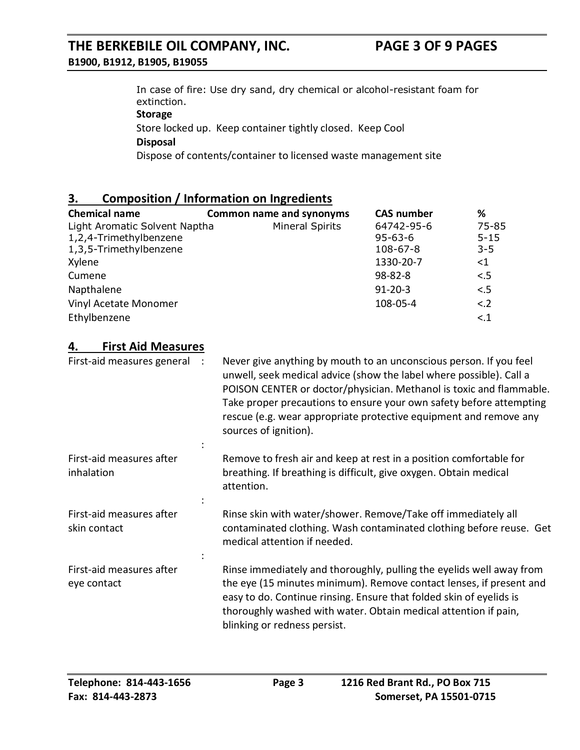#### **THE BERKEBILE OIL COMPANY, INC. PAGE 3 OF 9 PAGES B1900, B1912, B1905, B19055**

In case of fire: Use dry sand, dry chemical or alcohol-resistant foam for extinction. **Storage**

Store locked up. Keep container tightly closed. Keep Cool

#### **Disposal**

Dispose of contents/container to licensed waste management site

#### **3. Composition / Information on Ingredients**

| <b>Chemical name</b>          | <b>Common name and synonyms</b> | <b>CAS number</b> | %        |
|-------------------------------|---------------------------------|-------------------|----------|
| Light Aromatic Solvent Naptha | <b>Mineral Spirits</b>          | 64742-95-6        | 75-85    |
| 1,2,4-Trimethylbenzene        |                                 | $95 - 63 - 6$     | $5 - 15$ |
| 1,3,5-Trimethylbenzene        |                                 | $108 - 67 - 8$    | $3 - 5$  |
| Xylene                        |                                 | 1330-20-7         | ${<}1$   |
| Cumene                        |                                 | $98 - 82 - 8$     | < 5      |
| Napthalene                    |                                 | $91 - 20 - 3$     | < 5      |
| Vinyl Acetate Monomer         |                                 | 108-05-4          | < .2     |
| Ethylbenzene                  |                                 |                   | < 1      |

#### **4. First Aid Measures**

First-aid measures general : Never give anything by mouth to an unconscious person. If you feel unwell, seek medical advice (show the label where possible). Call a POISON CENTER or doctor/physician. Methanol is toxic and flammable. Take proper precautions to ensure your own safety before attempting rescue (e.g. wear appropriate protective equipment and remove any sources of ignition). First-aid measures after inhalation : Remove to fresh air and keep at rest in a position comfortable for breathing. If breathing is difficult, give oxygen. Obtain medical attention. First-aid measures after skin contact : Rinse skin with water/shower. Remove/Take off immediately all contaminated clothing. Wash contaminated clothing before reuse. Get medical attention if needed. First-aid measures after eye contact : Rinse immediately and thoroughly, pulling the eyelids well away from the eye (15 minutes minimum). Remove contact lenses, if present and easy to do. Continue rinsing. Ensure that folded skin of eyelids is thoroughly washed with water. Obtain medical attention if pain, blinking or redness persist.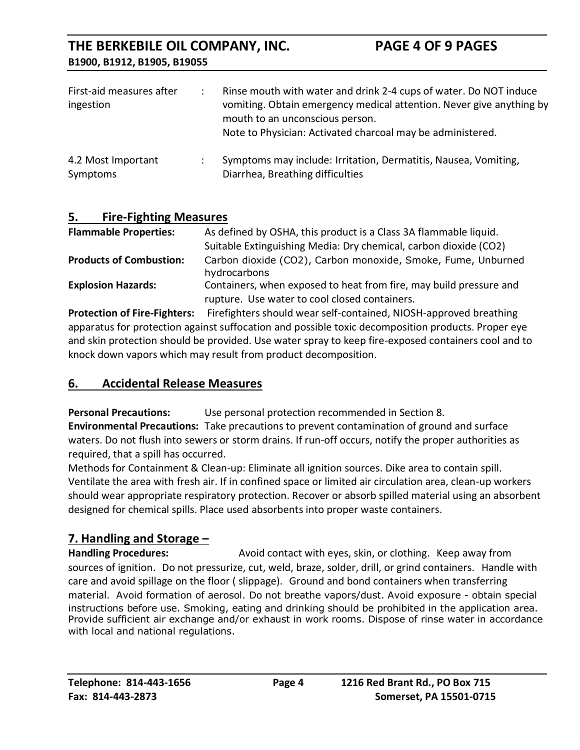| First-aid measures after<br>ingestion | Rinse mouth with water and drink 2-4 cups of water. Do NOT induce<br>vomiting. Obtain emergency medical attention. Never give anything by<br>mouth to an unconscious person.<br>Note to Physician: Activated charcoal may be administered. |
|---------------------------------------|--------------------------------------------------------------------------------------------------------------------------------------------------------------------------------------------------------------------------------------------|
| 4.2 Most Important<br>Symptoms        | Symptoms may include: Irritation, Dermatitis, Nausea, Vomiting,<br>Diarrhea, Breathing difficulties                                                                                                                                        |

#### **5. Fire-Fighting Measures**

| <b>Flammable Properties:</b>   | As defined by OSHA, this product is a Class 3A flammable liquid.             |
|--------------------------------|------------------------------------------------------------------------------|
|                                | Suitable Extinguishing Media: Dry chemical, carbon dioxide (CO2)             |
| <b>Products of Combustion:</b> | Carbon dioxide (CO2), Carbon monoxide, Smoke, Fume, Unburned<br>hydrocarbons |
| <b>Explosion Hazards:</b>      | Containers, when exposed to heat from fire, may build pressure and           |
|                                | rupture. Use water to cool closed containers.                                |

**Protection of Fire-Fighters:** Firefighters should wear self-contained, NIOSH-approved breathing apparatus for protection against suffocation and possible toxic decomposition products. Proper eye and skin protection should be provided. Use water spray to keep fire-exposed containers cool and to knock down vapors which may result from product decomposition.

#### **6. Accidental Release Measures**

**Personal Precautions:** Use personal protection recommended in Section 8.

**Environmental Precautions:** Take precautions to prevent contamination of ground and surface waters. Do not flush into sewers or storm drains. If run-off occurs, notify the proper authorities as required, that a spill has occurred.

Methods for Containment & Clean-up: Eliminate all ignition sources. Dike area to contain spill. Ventilate the area with fresh air. If in confined space or limited air circulation area, clean-up workers should wear appropriate respiratory protection. Recover or absorb spilled material using an absorbent designed for chemical spills. Place used absorbents into proper waste containers.

#### **7. Handling and Storage –**

**Handling Procedures:** Avoid contact with eyes, skin, or clothing. Keep away from sources of ignition. Do not pressurize, cut, weld, braze, solder, drill, or grind containers. Handle with care and avoid spillage on the floor ( slippage). Ground and bond containers when transferring material. Avoid formation of aerosol. Do not breathe vapors/dust. Avoid exposure - obtain special instructions before use. Smoking, eating and drinking should be prohibited in the application area. Provide sufficient air exchange and/or exhaust in work rooms. Dispose of rinse water in accordance with local and national regulations.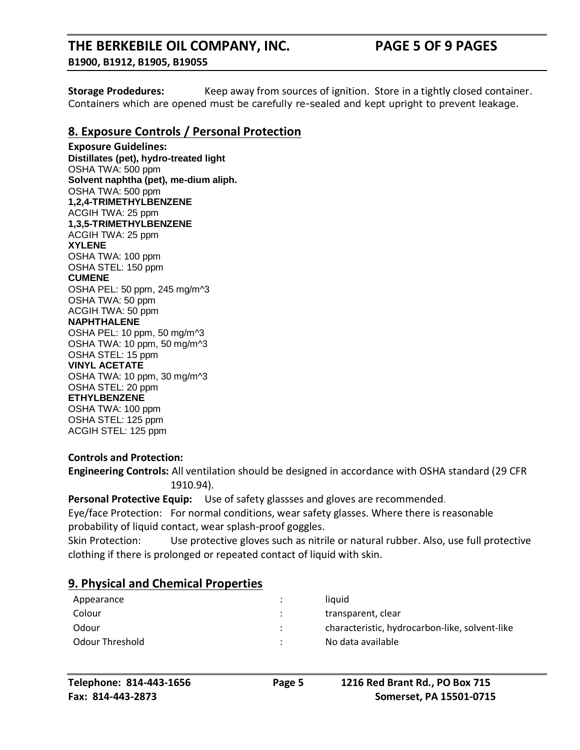#### **THE BERKEBILE OIL COMPANY, INC. PAGE 5 OF 9 PAGES B1900, B1912, B1905, B19055**

**Storage Prodedures:** Keep away from sources of ignition. Store in a tightly closed container. Containers which are opened must be carefully re-sealed and kept upright to prevent leakage.

#### **8. Exposure Controls / Personal Protection**

**Exposure Guidelines: Distillates (pet), hydro-treated light**  OSHA TWA: 500 ppm **Solvent naphtha (pet), me-dium aliph.**  OSHA TWA: 500 ppm **1,2,4-TRIMETHYLBENZENE** ACGIH TWA: 25 ppm **1,3,5-TRIMETHYLBENZENE** ACGIH TWA: 25 ppm **XYLENE** OSHA TWA: 100 ppm OSHA STEL: 150 ppm **CUMENE** OSHA PEL: 50 ppm, 245 mg/m^3 OSHA TWA: 50 ppm ACGIH TWA: 50 ppm **NAPHTHALENE** OSHA PEL: 10 ppm, 50 mg/m^3 OSHA TWA: 10 ppm, 50 mg/m^3 OSHA STEL: 15 ppm **VINYL ACETATE** OSHA TWA: 10 ppm, 30 mg/m^3 OSHA STEL: 20 ppm **ETHYLBENZENE** OSHA TWA: 100 ppm OSHA STEL: 125 ppm

#### **Controls and Protection:**

ACGIH STEL: 125 ppm

**Engineering Controls:** All ventilation should be designed in accordance with OSHA standard (29 CFR 1910.94).

**Personal Protective Equip:** Use of safety glassses and gloves are recommended.

Eye/face Protection: For normal conditions, wear safety glasses. Where there is reasonable probability of liquid contact, wear splash-proof goggles.

Skin Protection: Use protective gloves such as nitrile or natural rubber. Also, use full protective clothing if there is prolonged or repeated contact of liquid with skin.

#### **9. Physical and Chemical Properties**

| Appearance      | ٠         | liauid                                         |
|-----------------|-----------|------------------------------------------------|
| Colour          | $\bullet$ | transparent, clear                             |
| Odour           | $\cdot$   | characteristic, hydrocarbon-like, solvent-like |
| Odour Threshold |           | No data available                              |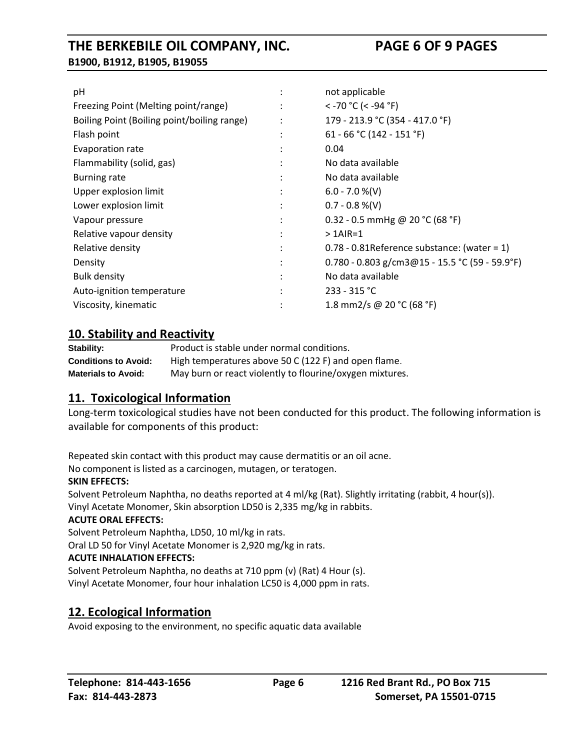| рH                                          |   | not applicable                                   |
|---------------------------------------------|---|--------------------------------------------------|
| Freezing Point (Melting point/range)        |   | $<$ -70 °C (< -94 °F)                            |
| Boiling Point (Boiling point/boiling range) |   | 179 - 213.9 °C (354 - 417.0 °F)                  |
| Flash point                                 |   | 61 - 66 °C (142 - 151 °F)                        |
| Evaporation rate                            |   | 0.04                                             |
| Flammability (solid, gas)                   |   | No data available                                |
| <b>Burning rate</b>                         |   | No data available                                |
| Upper explosion limit                       | ٠ | $6.0 - 7.0 %(V)$                                 |
| Lower explosion limit                       |   | $0.7 - 0.8 %$ (V)                                |
| Vapour pressure                             |   | 0.32 - 0.5 mmHg @ 20 °C (68 °F)                  |
| Relative vapour density                     |   | $>1$ AIR=1                                       |
| Relative density                            |   | $0.78 - 0.81$ Reference substance: (water = 1)   |
| Density                                     |   | $0.780 - 0.803$ g/cm3@15 - 15.5 °C (59 - 59.9°F) |
| <b>Bulk density</b>                         |   | No data available                                |
| Auto-ignition temperature                   |   | $233 - 315$ °C                                   |
| Viscosity, kinematic                        |   | 1.8 mm2/s @ 20 °C (68 °F)                        |
|                                             |   |                                                  |

#### **10. Stability and Reactivity**

| Stability:                  | Product is stable under normal conditions.               |
|-----------------------------|----------------------------------------------------------|
| <b>Conditions to Avoid:</b> | High temperatures above 50 C (122 F) and open flame.     |
| <b>Materials to Avoid:</b>  | May burn or react violently to flourine/oxygen mixtures. |

#### **11. Toxicological Information**

Long-term toxicological studies have not been conducted for this product. The following information is available for components of this product:

Repeated skin contact with this product may cause dermatitis or an oil acne.

No component is listed as a carcinogen, mutagen, or teratogen.

#### **SKIN EFFECTS:**

Solvent Petroleum Naphtha, no deaths reported at 4 ml/kg (Rat). Slightly irritating (rabbit, 4 hour(s)). Vinyl Acetate Monomer, Skin absorption LD50 is 2,335 mg/kg in rabbits.

#### **ACUTE ORAL EFFECTS:**

Solvent Petroleum Naphtha, LD50, 10 ml/kg in rats.

Oral LD 50 for Vinyl Acetate Monomer is 2,920 mg/kg in rats.

#### **ACUTE INHALATION EFFECTS:**

Solvent Petroleum Naphtha, no deaths at 710 ppm (v) (Rat) 4 Hour (s). Vinyl Acetate Monomer, four hour inhalation LC50 is 4,000 ppm in rats.

#### **12. Ecological Information**

Avoid exposing to the environment, no specific aquatic data available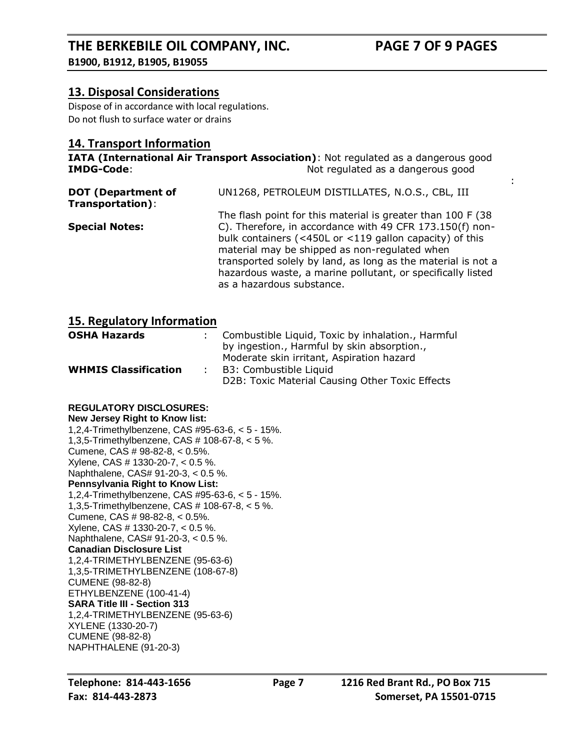:

#### **13. Disposal Considerations**

Dispose of in accordance with local regulations. Do not flush to surface water or drains

#### **14. Transport Information**

**IATA (International Air Transport Association)**: Not regulated as a dangerous good **IMDG-Code**: Not regulated as a dangerous good

| <b>DOT</b> (Department of<br>Transportation): | UN1268, PETROLEUM DISTILLATES, N.O.S., CBL, III                                                                                                                                                                                                                                                                                                                                                  |
|-----------------------------------------------|--------------------------------------------------------------------------------------------------------------------------------------------------------------------------------------------------------------------------------------------------------------------------------------------------------------------------------------------------------------------------------------------------|
| <b>Special Notes:</b>                         | The flash point for this material is greater than 100 F (38)<br>C). Therefore, in accordance with 49 CFR 173.150(f) non-<br>bulk containers (<450L or <119 gallon capacity) of this<br>material may be shipped as non-regulated when<br>transported solely by land, as long as the material is not a<br>hazardous waste, a marine pollutant, or specifically listed<br>as a hazardous substance. |

#### **15. Regulatory Information**

| <b>OSHA Hazards</b>         | : Combustible Liquid, Toxic by inhalation., Harmful |
|-----------------------------|-----------------------------------------------------|
|                             | by ingestion., Harmful by skin absorption.,         |
|                             | Moderate skin irritant, Aspiration hazard           |
| <b>WHMIS Classification</b> | B3: Combustible Liquid                              |
|                             | D2B: Toxic Material Causing Other Toxic Effects     |

#### **REGULATORY DISCLOSURES:**

**New Jersey Right to Know list:** 1,2,4-Trimethylbenzene, CAS #95-63-6, < 5 - 15%. 1,3,5-Trimethylbenzene, CAS # 108-67-8, < 5 %. Cumene, CAS # 98-82-8, < 0.5%. Xylene, CAS # 1330-20-7, < 0.5 %. Naphthalene, CAS# 91-20-3, < 0.5 %. **Pennsylvania Right to Know List:** 1,2,4-Trimethylbenzene, CAS #95-63-6, < 5 - 15%. 1,3,5-Trimethylbenzene, CAS # 108-67-8, < 5 %. Cumene, CAS # 98-82-8, < 0.5%. Xylene, CAS # 1330-20-7, < 0.5 %. Naphthalene, CAS# 91-20-3, < 0.5 %. **Canadian Disclosure List** 1,2,4-TRIMETHYLBENZENE (95-63-6) 1,3,5-TRIMETHYLBENZENE (108-67-8) CUMENE (98-82-8) ETHYLBENZENE (100-41-4) **SARA Title III - Section 313** 1,2,4-TRIMETHYLBENZENE (95-63-6) XYLENE (1330-20-7) CUMENE (98-82-8) NAPHTHALENE (91-20-3)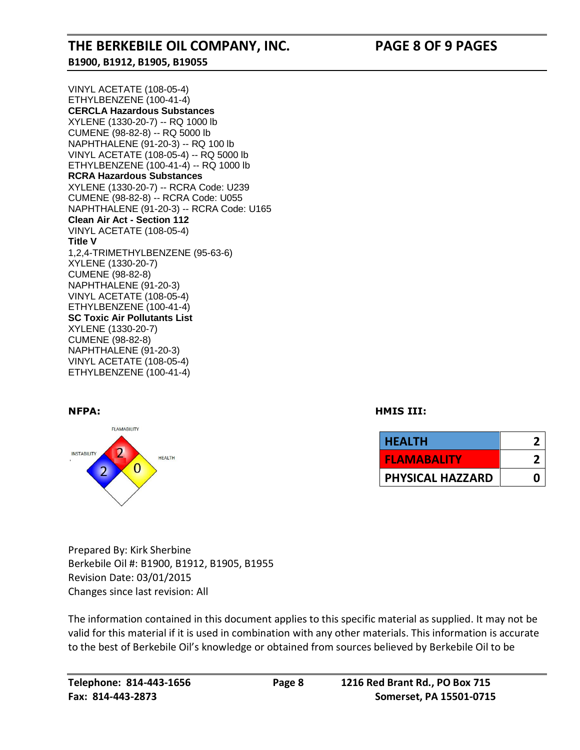#### **THE BERKEBILE OIL COMPANY, INC. PAGE 8 OF 9 PAGES B1900, B1912, B1905, B19055**

VINYL ACETATE (108-05-4) ETHYLBENZENE (100-41-4) **CERCLA Hazardous Substances** XYLENE (1330-20-7) -- RQ 1000 lb CUMENE (98-82-8) -- RQ 5000 lb NAPHTHALENE (91-20-3) -- RQ 100 lb VINYL ACETATE (108-05-4) -- RQ 5000 lb ETHYLBENZENE (100-41-4) -- RQ 1000 lb **RCRA Hazardous Substances** XYLENE (1330-20-7) -- RCRA Code: U239 CUMENE (98-82-8) -- RCRA Code: U055 NAPHTHALENE (91-20-3) -- RCRA Code: U165 **Clean Air Act - Section 112** VINYL ACETATE (108-05-4) **Title V** 1,2,4-TRIMETHYLBENZENE (95-63-6) XYLENE (1330-20-7) CUMENE (98-82-8) NAPHTHALENE (91-20-3) VINYL ACETATE (108-05-4) ETHYLBENZENE (100-41-4) **SC Toxic Air Pollutants List** XYLENE (1330-20-7) CUMENE (98-82-8) NAPHTHALENE (91-20-3) VINYL ACETATE (108-05-4) ETHYLBENZENE (100-41-4)



**NFPA: HMIS III:** 

| <b>HEALTH</b>           |  |
|-------------------------|--|
| <b>FLAMABALITY</b>      |  |
| <b>PHYSICAL HAZZARD</b> |  |

Prepared By: Kirk Sherbine Berkebile Oil #: B1900, B1912, B1905, B1955 Revision Date: 03/01/2015 Changes since last revision: All

The information contained in this document applies to this specific material as supplied. It may not be valid for this material if it is used in combination with any other materials. This information is accurate to the best of Berkebile Oil's knowledge or obtained from sources believed by Berkebile Oil to be